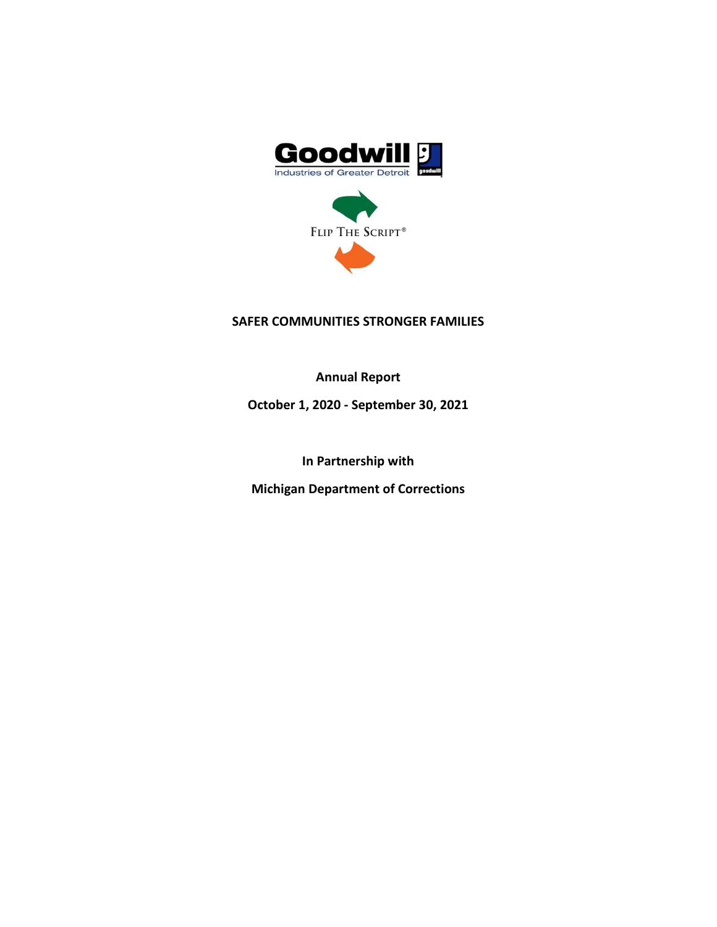



## **SAFER COMMUNITIES STRONGER FAMILIES**

**Annual Report**

**October 1, 2020 - September 30, 2021**

**In Partnership with**

**Michigan Department of Corrections**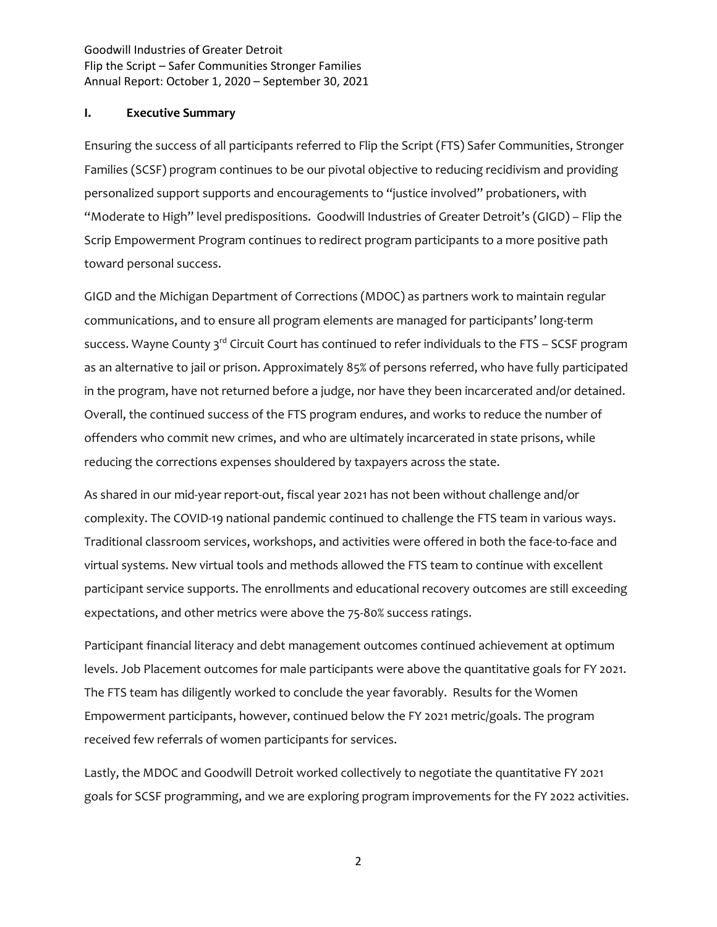#### **I. Executive Summary**

Ensuring the success of all participants referred to Flip the Script (FTS) Safer Communities, Stronger Families (SCSF) program continues to be our pivotal objective to reducing recidivism and providing personalized support supports and encouragements to "justice involved" probationers, with "Moderate to High" level predispositions. Goodwill Industries of Greater Detroit's (GIGD) – Flip the Scrip Empowerment Program continues to redirect program participants to a more positive path toward personal success.

GIGD and the Michigan Department of Corrections (MDOC) as partners work to maintain regular communications, and to ensure all program elements are managed for participants' long-term success. Wayne County  $3^{rd}$  Circuit Court has continued to refer individuals to the FTS – SCSF program as an alternative to jail or prison. Approximately 85% of persons referred, who have fully participated in the program, have not returned before a judge, nor have they been incarcerated and/or detained. Overall, the continued success of the FTS program endures, and works to reduce the number of offenders who commit new crimes, and who are ultimately incarcerated in state prisons, while reducing the corrections expenses shouldered by taxpayers across the state.

As shared in our mid-year report-out, fiscal year 2021 has not been without challenge and/or complexity. The COVID-19 national pandemic continued to challenge the FTS team in various ways. Traditional classroom services, workshops, and activities were offered in both the face-to-face and virtual systems. New virtual tools and methods allowed the FTS team to continue with excellent participant service supports. The enrollments and educational recovery outcomes are still exceeding expectations, and other metrics were above the 75-80% success ratings.

Participant financial literacy and debt management outcomes continued achievement at optimum levels. Job Placement outcomes for male participants were above the quantitative goals for FY 2021. The FTS team has diligently worked to conclude the year favorably. Results for the Women Empowerment participants, however, continued below the FY 2021 metric/goals. The program received few referrals of women participants for services.

Lastly, the MDOC and Goodwill Detroit worked collectively to negotiate the quantitative FY 2021 goals for SCSF programming, and we are exploring program improvements for the FY 2022 activities.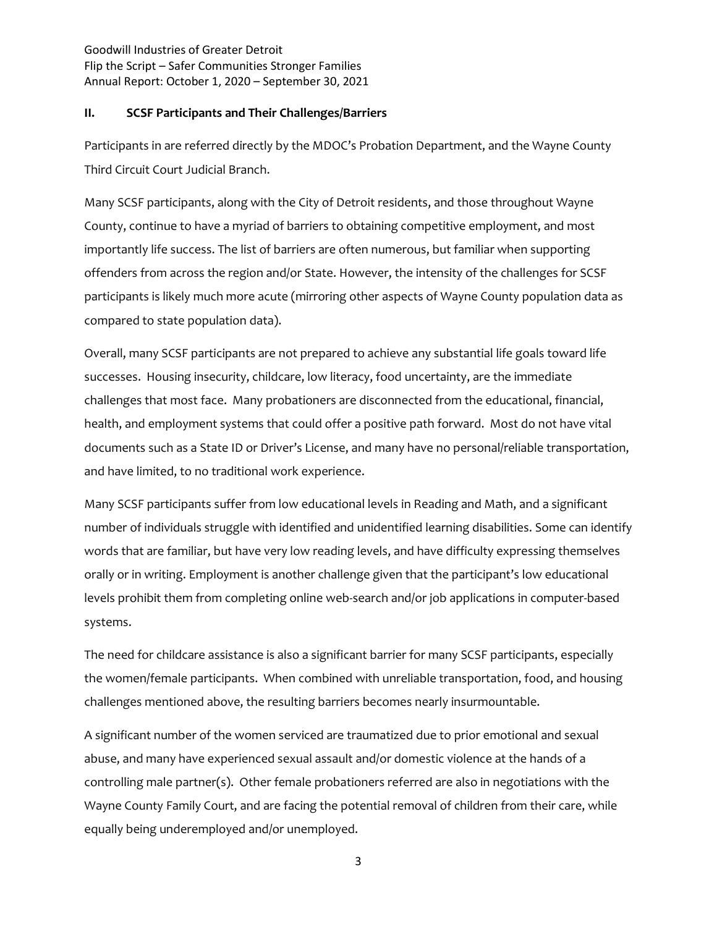#### **II. SCSF Participants and Their Challenges/Barriers**

Participants in are referred directly by the MDOC's Probation Department, and the Wayne County Third Circuit Court Judicial Branch.

Many SCSF participants, along with the City of Detroit residents, and those throughout Wayne County, continue to have a myriad of barriers to obtaining competitive employment, and most importantly life success. The list of barriers are often numerous, but familiar when supporting offenders from across the region and/or State. However, the intensity of the challenges for SCSF participants is likely much more acute (mirroring other aspects of Wayne County population data as compared to state population data).

Overall, many SCSF participants are not prepared to achieve any substantial life goals toward life successes. Housing insecurity, childcare, low literacy, food uncertainty, are the immediate challenges that most face. Many probationers are disconnected from the educational, financial, health, and employment systems that could offer a positive path forward. Most do not have vital documents such as a State ID or Driver's License, and many have no personal/reliable transportation, and have limited, to no traditional work experience.

Many SCSF participants suffer from low educational levels in Reading and Math, and a significant number of individuals struggle with identified and unidentified learning disabilities. Some can identify words that are familiar, but have very low reading levels, and have difficulty expressing themselves orally or in writing. Employment is another challenge given that the participant's low educational levels prohibit them from completing online web-search and/or job applications in computer-based systems.

The need for childcare assistance is also a significant barrier for many SCSF participants, especially the women/female participants. When combined with unreliable transportation, food, and housing challenges mentioned above, the resulting barriers becomes nearly insurmountable.

A significant number of the women serviced are traumatized due to prior emotional and sexual abuse, and many have experienced sexual assault and/or domestic violence at the hands of a controlling male partner(s). Other female probationers referred are also in negotiations with the Wayne County Family Court, and are facing the potential removal of children from their care, while equally being underemployed and/or unemployed.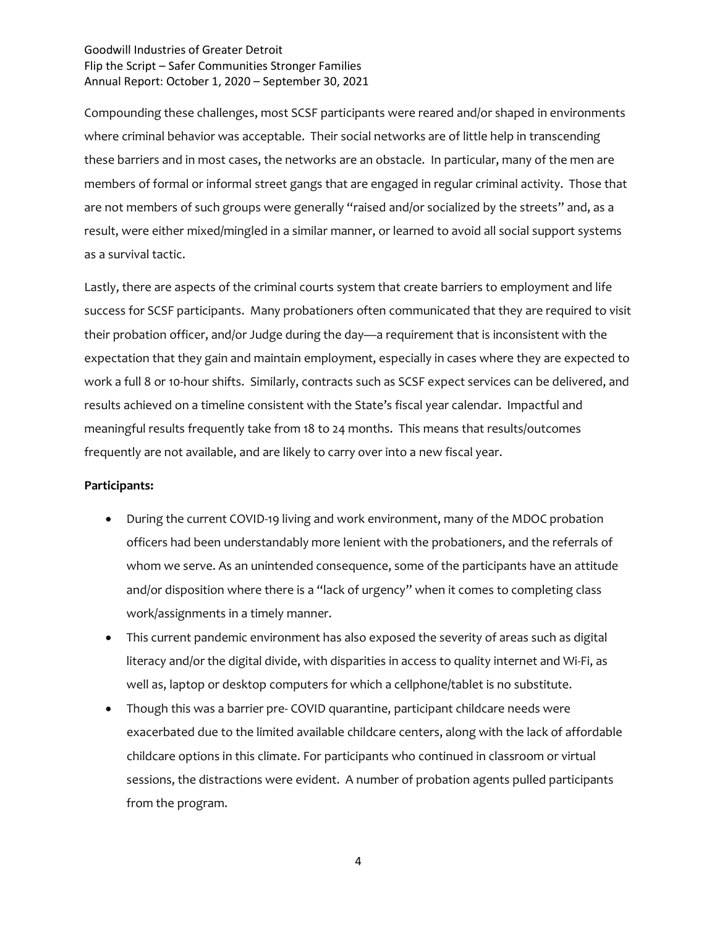Compounding these challenges, most SCSF participants were reared and/or shaped in environments where criminal behavior was acceptable. Their social networks are of little help in transcending these barriers and in most cases, the networks are an obstacle. In particular, many of the men are members of formal or informal street gangs that are engaged in regular criminal activity. Those that are not members of such groups were generally "raised and/or socialized by the streets" and, as a result, were either mixed/mingled in a similar manner, or learned to avoid all social support systems as a survival tactic.

Lastly, there are aspects of the criminal courts system that create barriers to employment and life success for SCSF participants. Many probationers often communicated that they are required to visit their probation officer, and/or Judge during the day—a requirement that is inconsistent with the expectation that they gain and maintain employment, especially in cases where they are expected to work a full 8 or 10-hour shifts. Similarly, contracts such as SCSF expect services can be delivered, and results achieved on a timeline consistent with the State's fiscal year calendar. Impactful and meaningful results frequently take from 18 to 24 months. This means that results/outcomes frequently are not available, and are likely to carry over into a new fiscal year.

#### **Participants:**

- During the current COVID-19 living and work environment, many of the MDOC probation officers had been understandably more lenient with the probationers, and the referrals of whom we serve. As an unintended consequence, some of the participants have an attitude and/or disposition where there is a "lack of urgency" when it comes to completing class work/assignments in a timely manner.
- This current pandemic environment has also exposed the severity of areas such as digital literacy and/or the digital divide, with disparities in access to quality internet and Wi-Fi, as well as, laptop or desktop computers for which a cellphone/tablet is no substitute.
- Though this was a barrier pre- COVID quarantine, participant childcare needs were exacerbated due to the limited available childcare centers, along with the lack of affordable childcare options in this climate. For participants who continued in classroom or virtual sessions, the distractions were evident. A number of probation agents pulled participants from the program.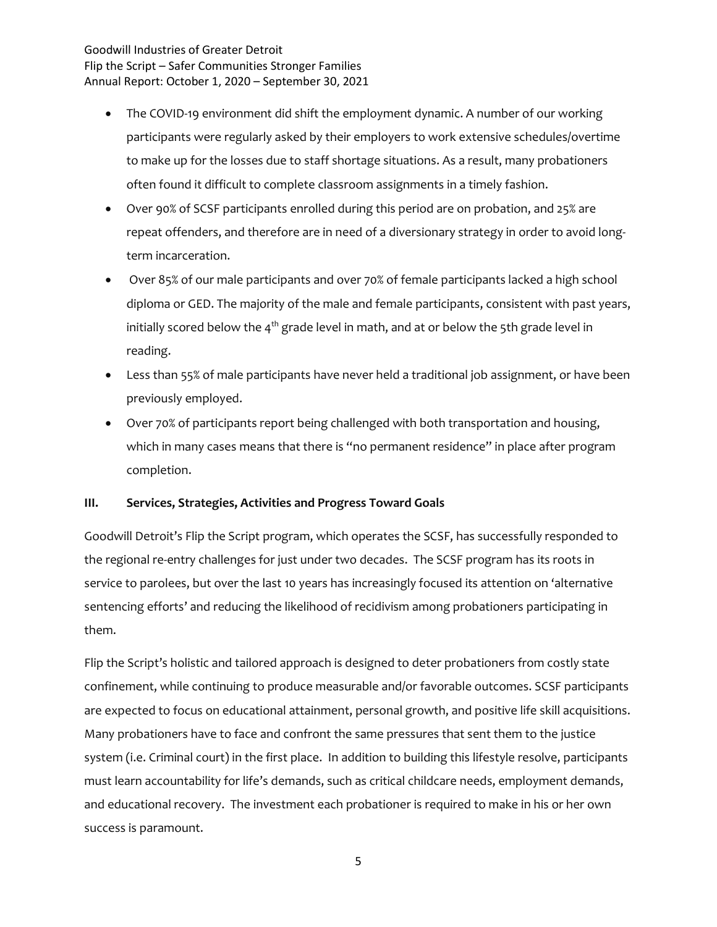- The COVID-19 environment did shift the employment dynamic. A number of our working participants were regularly asked by their employers to work extensive schedules/overtime to make up for the losses due to staff shortage situations. As a result, many probationers often found it difficult to complete classroom assignments in a timely fashion.
- Over 90% of SCSF participants enrolled during this period are on probation, and 25% are repeat offenders, and therefore are in need of a diversionary strategy in order to avoid longterm incarceration.
- Over 85% of our male participants and over 70% of female participants lacked a high school diploma or GED. The majority of the male and female participants, consistent with past years, initially scored below the  $4<sup>th</sup>$  grade level in math, and at or below the 5th grade level in reading.
- Less than 55% of male participants have never held a traditional job assignment, or have been previously employed.
- Over 70% of participants report being challenged with both transportation and housing, which in many cases means that there is "no permanent residence" in place after program completion.

#### **III. Services, Strategies, Activities and Progress Toward Goals**

Goodwill Detroit's Flip the Script program, which operates the SCSF, has successfully responded to the regional re-entry challenges for just under two decades. The SCSF program has its roots in service to parolees, but over the last 10 years has increasingly focused its attention on 'alternative sentencing efforts' and reducing the likelihood of recidivism among probationers participating in them.

Flip the Script's holistic and tailored approach is designed to deter probationers from costly state confinement, while continuing to produce measurable and/or favorable outcomes. SCSF participants are expected to focus on educational attainment, personal growth, and positive life skill acquisitions. Many probationers have to face and confront the same pressures that sent them to the justice system (i.e. Criminal court) in the first place. In addition to building this lifestyle resolve, participants must learn accountability for life's demands, such as critical childcare needs, employment demands, and educational recovery. The investment each probationer is required to make in his or her own success is paramount.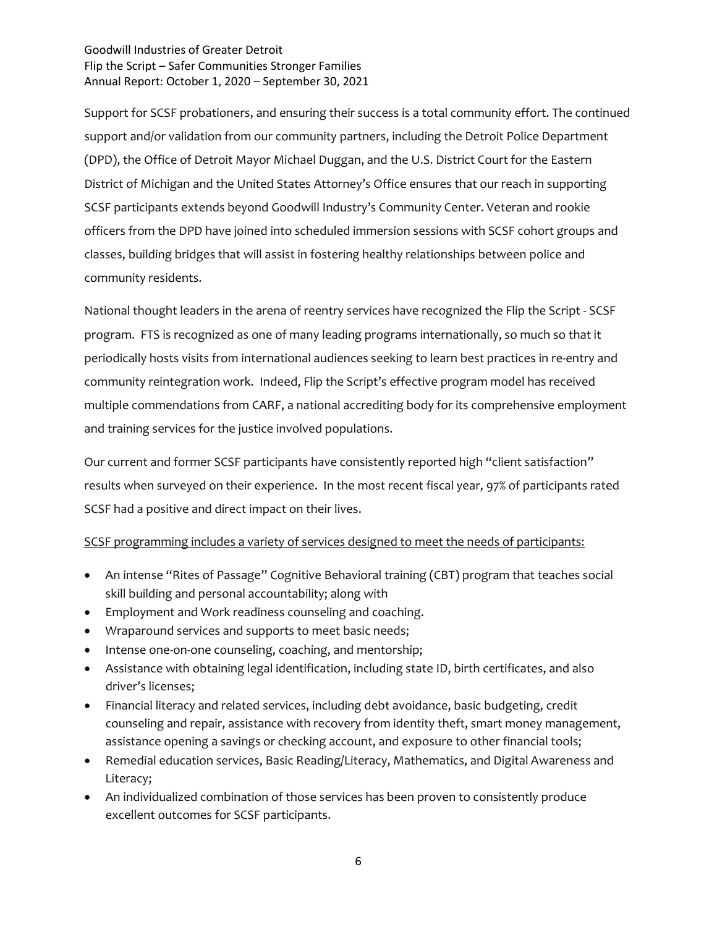Support for SCSF probationers, and ensuring their success is a total community effort. The continued support and/or validation from our community partners, including the Detroit Police Department (DPD), the Office of Detroit Mayor Michael Duggan, and the U.S. District Court for the Eastern District of Michigan and the United States Attorney's Office ensures that our reach in supporting SCSF participants extends beyond Goodwill Industry's Community Center. Veteran and rookie officers from the DPD have joined into scheduled immersion sessions with SCSF cohort groups and classes, building bridges that will assist in fostering healthy relationships between police and community residents.

National thought leaders in the arena of reentry services have recognized the Flip the Script - SCSF program. FTS is recognized as one of many leading programs internationally, so much so that it periodically hosts visits from international audiences seeking to learn best practices in re-entry and community reintegration work. Indeed, Flip the Script's effective program model has received multiple commendations from CARF, a national accrediting body for its comprehensive employment and training services for the justice involved populations.

Our current and former SCSF participants have consistently reported high "client satisfaction" results when surveyed on their experience. In the most recent fiscal year, 97% of participants rated SCSF had a positive and direct impact on their lives.

## SCSF programming includes a variety of services designed to meet the needs of participants:

- An intense "Rites of Passage" Cognitive Behavioral training (CBT) program that teaches social skill building and personal accountability; along with
- Employment and Work readiness counseling and coaching.
- Wraparound services and supports to meet basic needs;
- Intense one-on-one counseling, coaching, and mentorship;
- Assistance with obtaining legal identification, including state ID, birth certificates, and also driver's licenses;
- Financial literacy and related services, including debt avoidance, basic budgeting, credit counseling and repair, assistance with recovery from identity theft, smart money management, assistance opening a savings or checking account, and exposure to other financial tools;
- Remedial education services, Basic Reading/Literacy, Mathematics, and Digital Awareness and Literacy;
- An individualized combination of those services has been proven to consistently produce excellent outcomes for SCSF participants.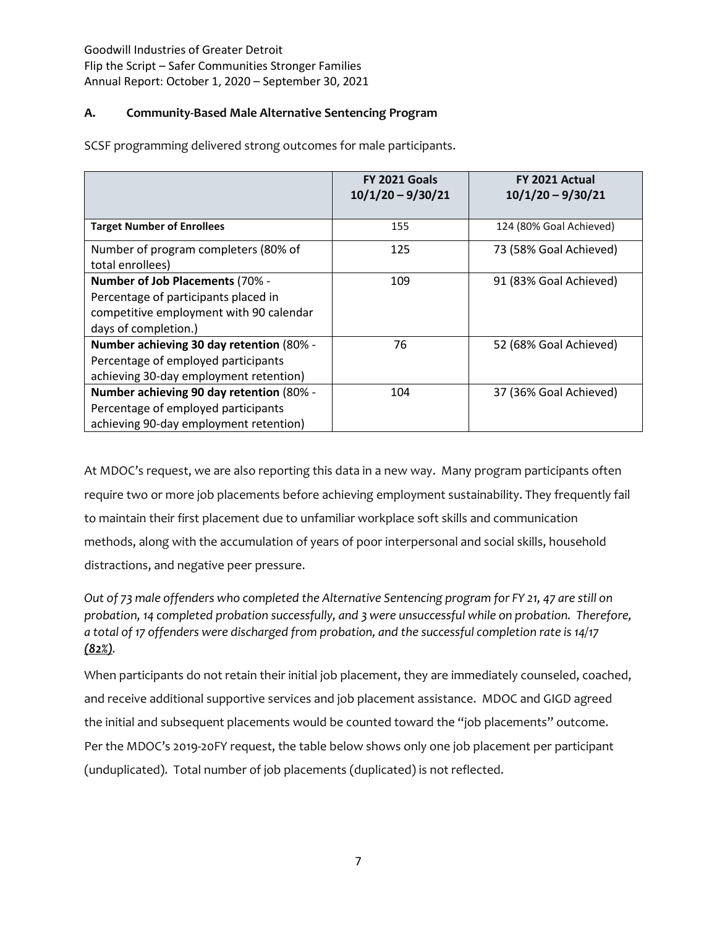# **A. Community-Based Male Alternative Sentencing Program**

SCSF programming delivered strong outcomes for male participants.

|                                                                                                                                            | <b>FY 2021 Goals</b><br>$10/1/20 - 9/30/21$ | FY 2021 Actual<br>$10/1/20 - 9/30/21$ |
|--------------------------------------------------------------------------------------------------------------------------------------------|---------------------------------------------|---------------------------------------|
| <b>Target Number of Enrollees</b>                                                                                                          | 155                                         | 124 (80% Goal Achieved)               |
| Number of program completers (80% of<br>total enrollees)                                                                                   | 125                                         | 73 (58% Goal Achieved)                |
| Number of Job Placements (70% -<br>Percentage of participants placed in<br>competitive employment with 90 calendar<br>days of completion.) | 109                                         | 91 (83% Goal Achieved)                |
| Number achieving 30 day retention (80% -<br>Percentage of employed participants<br>achieving 30-day employment retention)                  | 76                                          | 52 (68% Goal Achieved)                |
| Number achieving 90 day retention (80% -<br>Percentage of employed participants<br>achieving 90-day employment retention)                  | 104                                         | 37 (36% Goal Achieved)                |

At MDOC's request, we are also reporting this data in a new way. Many program participants often require two or more job placements before achieving employment sustainability. They frequently fail to maintain their first placement due to unfamiliar workplace soft skills and communication methods, along with the accumulation of years of poor interpersonal and social skills, household distractions, and negative peer pressure.

*Out of 73 male offenders who completed the Alternative Sentencing program for FY 21, 47 are still on probation, 14 completed probation successfully, and 3 were unsuccessful while on probation. Therefore, a total of 17 offenders were discharged from probation, and the successful completion rate is 14/17 (82%).* 

When participants do not retain their initial job placement, they are immediately counseled, coached, and receive additional supportive services and job placement assistance. MDOC and GIGD agreed the initial and subsequent placements would be counted toward the "job placements" outcome. Per the MDOC's 2019-20FY request, the table below shows only one job placement per participant (unduplicated). Total number of job placements (duplicated) is not reflected.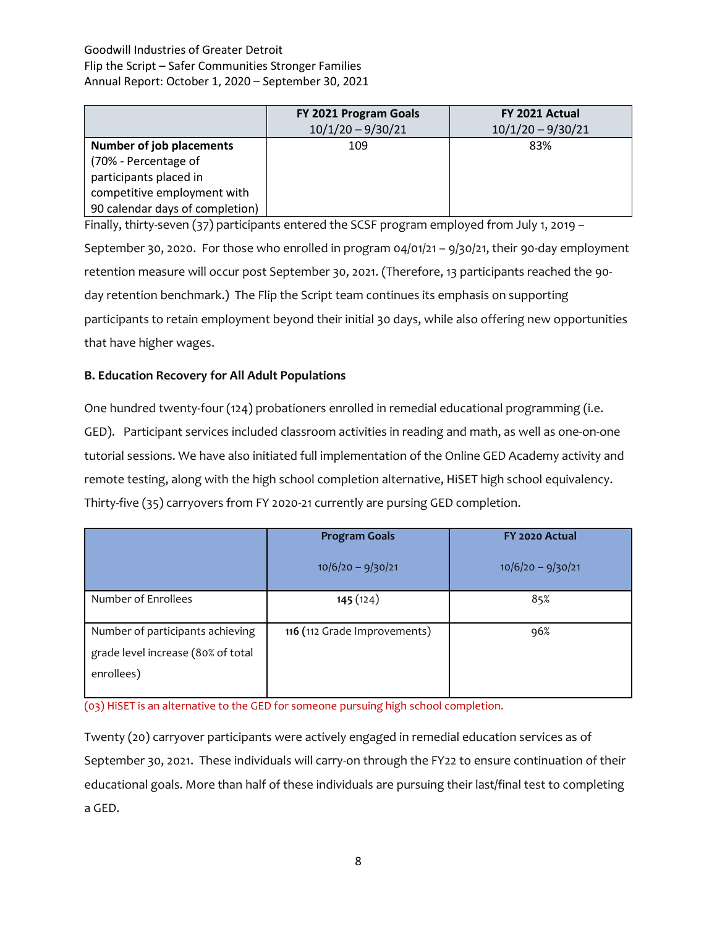|                                 | FY 2021 Program Goals<br>$10/1/20 - 9/30/21$ | FY 2021 Actual<br>$10/1/20 - 9/30/21$ |
|---------------------------------|----------------------------------------------|---------------------------------------|
| <b>Number of job placements</b> | 109                                          | 83%                                   |
| (70% - Percentage of            |                                              |                                       |
| participants placed in          |                                              |                                       |
| competitive employment with     |                                              |                                       |
| 90 calendar days of completion) |                                              |                                       |

Finally, thirty-seven (37) participants entered the SCSF program employed from July 1, 2019 – September 30, 2020. For those who enrolled in program 04/01/21 – 9/30/21, their 90-day employment retention measure will occur post September 30, 2021. (Therefore, 13 participants reached the 90 day retention benchmark.) The Flip the Script team continues its emphasis on supporting participants to retain employment beyond their initial 30 days, while also offering new opportunities that have higher wages.

# **B. Education Recovery for All Adult Populations**

One hundred twenty-four (124) probationers enrolled in remedial educational programming (i.e. GED). Participant services included classroom activities in reading and math, as well as one-on-one tutorial sessions. We have also initiated full implementation of the Online GED Academy activity and remote testing, along with the high school completion alternative, HiSET high school equivalency. Thirty-five (35) carryovers from FY 2020-21 currently are pursing GED completion.

|                                                                                      | <b>Program Goals</b>         | FY 2020 Actual      |  |
|--------------------------------------------------------------------------------------|------------------------------|---------------------|--|
|                                                                                      | $10/6/20 - 9/30/21$          | $10/6/20 - 9/30/21$ |  |
| Number of Enrollees                                                                  | 145(124)                     | 85%                 |  |
| Number of participants achieving<br>grade level increase (80% of total<br>enrollees) | 116 (112 Grade Improvements) | 96%                 |  |

(03) HiSET is an alternative to the GED for someone pursuing high school completion.

Twenty (20) carryover participants were actively engaged in remedial education services as of September 30, 2021. These individuals will carry-on through the FY22 to ensure continuation of their educational goals. More than half of these individuals are pursuing their last/final test to completing a GED.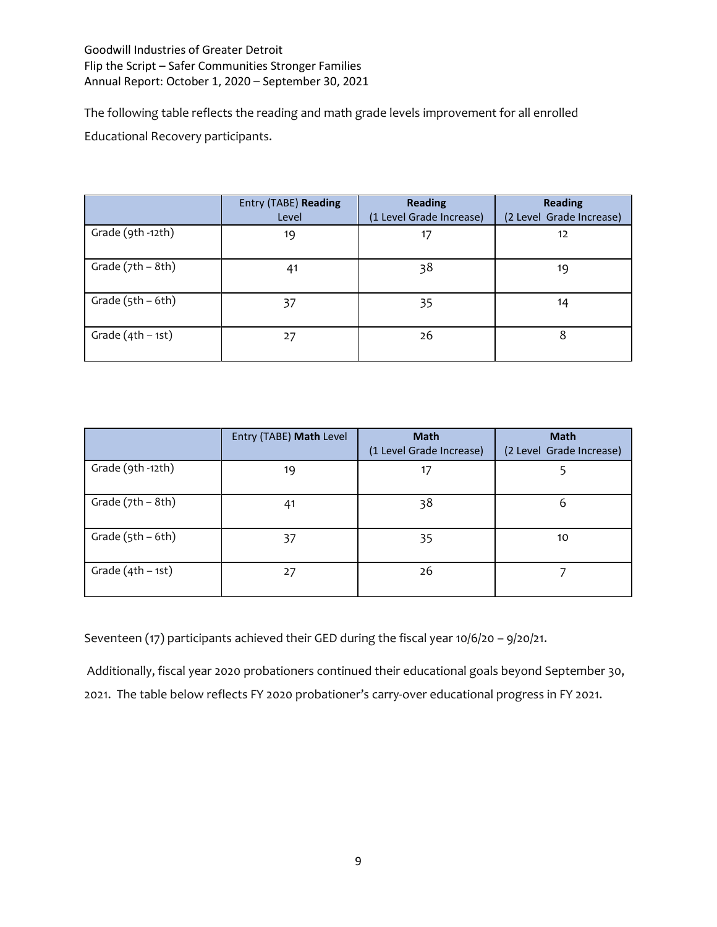The following table reflects the reading and math grade levels improvement for all enrolled Educational Recovery participants.

|                     | Entry (TABE) Reading<br>Level | <b>Reading</b><br>(1 Level Grade Increase) | <b>Reading</b><br>(2 Level Grade Increase) |
|---------------------|-------------------------------|--------------------------------------------|--------------------------------------------|
| Grade (9th -12th)   | 19                            | 17                                         | 12                                         |
| Grade $(7th - 8th)$ | 41                            | 38                                         | 19                                         |
| Grade $(5th - 6th)$ | 37                            | 35                                         | 14                                         |
| Grade $(4th - 1st)$ | 27                            | 26                                         | 8                                          |

|                     | Entry (TABE) Math Level | <b>Math</b><br>(1 Level Grade Increase) | <b>Math</b><br>(2 Level Grade Increase) |
|---------------------|-------------------------|-----------------------------------------|-----------------------------------------|
| Grade (9th -12th)   | 19                      | 17                                      |                                         |
| Grade $(7th - 8th)$ | 41                      | 38                                      | 6                                       |
| Grade $(5th - 6th)$ | 37                      | 35                                      | 10                                      |
| Grade $(4th - 1st)$ | 27                      | 26                                      |                                         |

Seventeen (17) participants achieved their GED during the fiscal year 10/6/20 – 9/20/21.

Additionally, fiscal year 2020 probationers continued their educational goals beyond September 30, 2021. The table below reflects FY 2020 probationer's carry-over educational progress in FY 2021.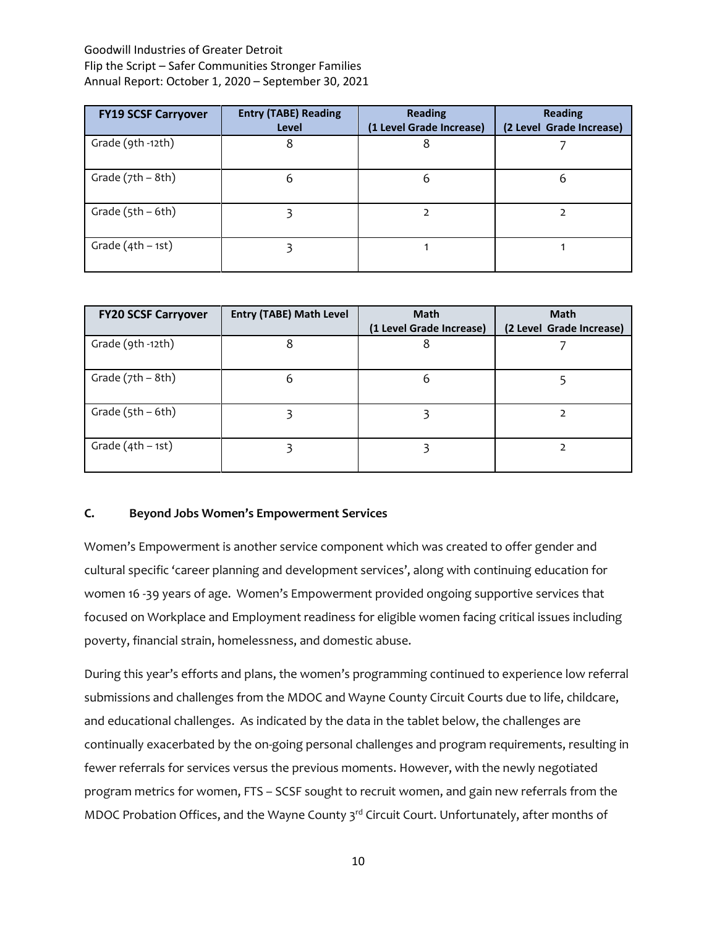| <b>FY19 SCSF Carryover</b> | <b>Entry (TABE) Reading</b><br>Level | <b>Reading</b><br>(1 Level Grade Increase) | <b>Reading</b><br>(2 Level Grade Increase) |
|----------------------------|--------------------------------------|--------------------------------------------|--------------------------------------------|
| Grade (9th -12th)          | 8                                    | 8                                          |                                            |
| Grade $(7th - 8th)$        | 6                                    | 6                                          | b                                          |
| Grade $(5th - 6th)$        |                                      |                                            |                                            |
| Grade $(4th - 1st)$        |                                      |                                            |                                            |

| <b>FY20 SCSF Carryover</b> | <b>Entry (TABE) Math Level</b> | <b>Math</b><br>(1 Level Grade Increase) | <b>Math</b><br>(2 Level Grade Increase) |
|----------------------------|--------------------------------|-----------------------------------------|-----------------------------------------|
| Grade (9th -12th)          | 8                              | 8                                       |                                         |
| Grade $(7th - 8th)$        | 6                              | 6                                       |                                         |
| Grade $(5th - 6th)$        |                                |                                         |                                         |
| Grade $(4th - 1st)$        |                                |                                         |                                         |

## **C. Beyond Jobs Women's Empowerment Services**

Women's Empowerment is another service component which was created to offer gender and cultural specific 'career planning and development services', along with continuing education for women 16 -39 years of age. Women's Empowerment provided ongoing supportive services that focused on Workplace and Employment readiness for eligible women facing critical issues including poverty, financial strain, homelessness, and domestic abuse.

During this year's efforts and plans, the women's programming continued to experience low referral submissions and challenges from the MDOC and Wayne County Circuit Courts due to life, childcare, and educational challenges. As indicated by the data in the tablet below, the challenges are continually exacerbated by the on-going personal challenges and program requirements, resulting in fewer referrals for services versus the previous moments. However, with the newly negotiated program metrics for women, FTS – SCSF sought to recruit women, and gain new referrals from the MDOC Probation Offices, and the Wayne County 3<sup>rd</sup> Circuit Court. Unfortunately, after months of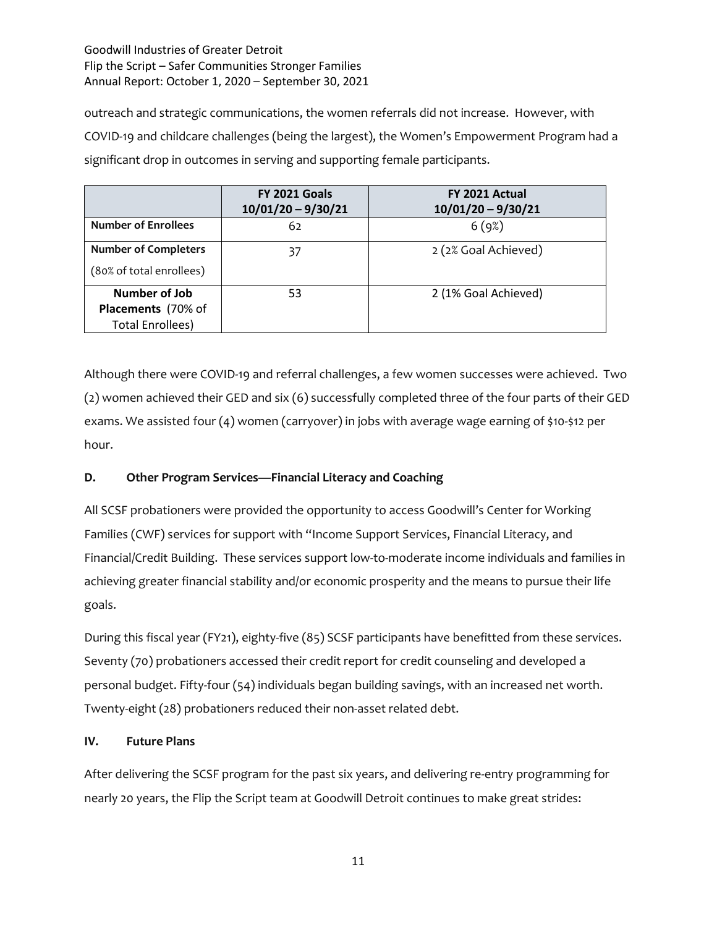outreach and strategic communications, the women referrals did not increase. However, with COVID-19 and childcare challenges (being the largest), the Women's Empowerment Program had a significant drop in outcomes in serving and supporting female participants.

|                             | FY 2021 Goals<br>$10/01/20 - 9/30/21$ | FY 2021 Actual<br>$10/01/20 - 9/30/21$ |
|-----------------------------|---------------------------------------|----------------------------------------|
| <b>Number of Enrollees</b>  | 62                                    | 6(9%)                                  |
| <b>Number of Completers</b> | 37                                    | 2 (2% Goal Achieved)                   |
| (80% of total enrollees)    |                                       |                                        |
| Number of Job               | 53                                    | 2 (1% Goal Achieved)                   |
| Placements (70% of          |                                       |                                        |
| <b>Total Enrollees)</b>     |                                       |                                        |

Although there were COVID-19 and referral challenges, a few women successes were achieved. Two (2) women achieved their GED and six (6) successfully completed three of the four parts of their GED exams. We assisted four (4) women (carryover) in jobs with average wage earning of \$10-\$12 per hour.

# **D. Other Program Services—Financial Literacy and Coaching**

All SCSF probationers were provided the opportunity to access Goodwill's Center for Working Families (CWF) services for support with "Income Support Services, Financial Literacy, and Financial/Credit Building. These services support low-to-moderate income individuals and families in achieving greater financial stability and/or economic prosperity and the means to pursue their life goals.

During this fiscal year (FY21), eighty-five (85) SCSF participants have benefitted from these services. Seventy (70) probationers accessed their credit report for credit counseling and developed a personal budget. Fifty-four (54) individuals began building savings, with an increased net worth. Twenty-eight (28) probationers reduced their non-asset related debt.

## **IV. Future Plans**

After delivering the SCSF program for the past six years, and delivering re-entry programming for nearly 20 years, the Flip the Script team at Goodwill Detroit continues to make great strides: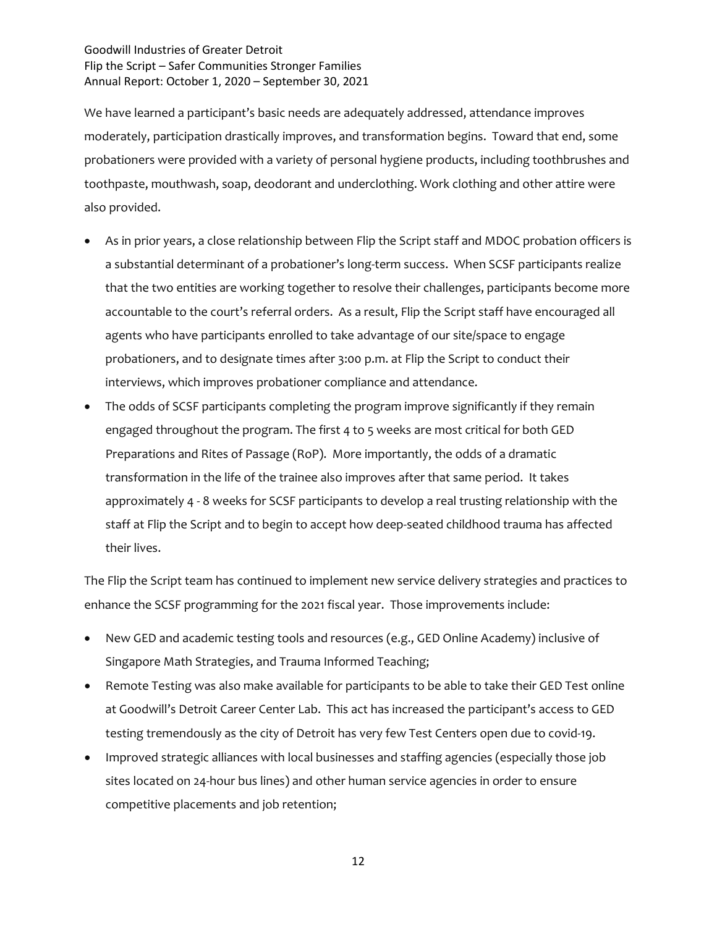We have learned a participant's basic needs are adequately addressed, attendance improves moderately, participation drastically improves, and transformation begins. Toward that end, some probationers were provided with a variety of personal hygiene products, including toothbrushes and toothpaste, mouthwash, soap, deodorant and underclothing. Work clothing and other attire were also provided.

- As in prior years, a close relationship between Flip the Script staff and MDOC probation officers is a substantial determinant of a probationer's long-term success. When SCSF participants realize that the two entities are working together to resolve their challenges, participants become more accountable to the court's referral orders. As a result, Flip the Script staff have encouraged all agents who have participants enrolled to take advantage of our site/space to engage probationers, and to designate times after 3:00 p.m. at Flip the Script to conduct their interviews, which improves probationer compliance and attendance.
- The odds of SCSF participants completing the program improve significantly if they remain engaged throughout the program. The first 4 to 5 weeks are most critical for both GED Preparations and Rites of Passage (RoP). More importantly, the odds of a dramatic transformation in the life of the trainee also improves after that same period. It takes approximately 4 - 8 weeks for SCSF participants to develop a real trusting relationship with the staff at Flip the Script and to begin to accept how deep-seated childhood trauma has affected their lives.

The Flip the Script team has continued to implement new service delivery strategies and practices to enhance the SCSF programming for the 2021 fiscal year. Those improvements include:

- New GED and academic testing tools and resources (e.g., GED Online Academy) inclusive of Singapore Math Strategies, and Trauma Informed Teaching;
- Remote Testing was also make available for participants to be able to take their GED Test online at Goodwill's Detroit Career Center Lab. This act has increased the participant's access to GED testing tremendously as the city of Detroit has very few Test Centers open due to covid-19.
- Improved strategic alliances with local businesses and staffing agencies (especially those job sites located on 24-hour bus lines) and other human service agencies in order to ensure competitive placements and job retention;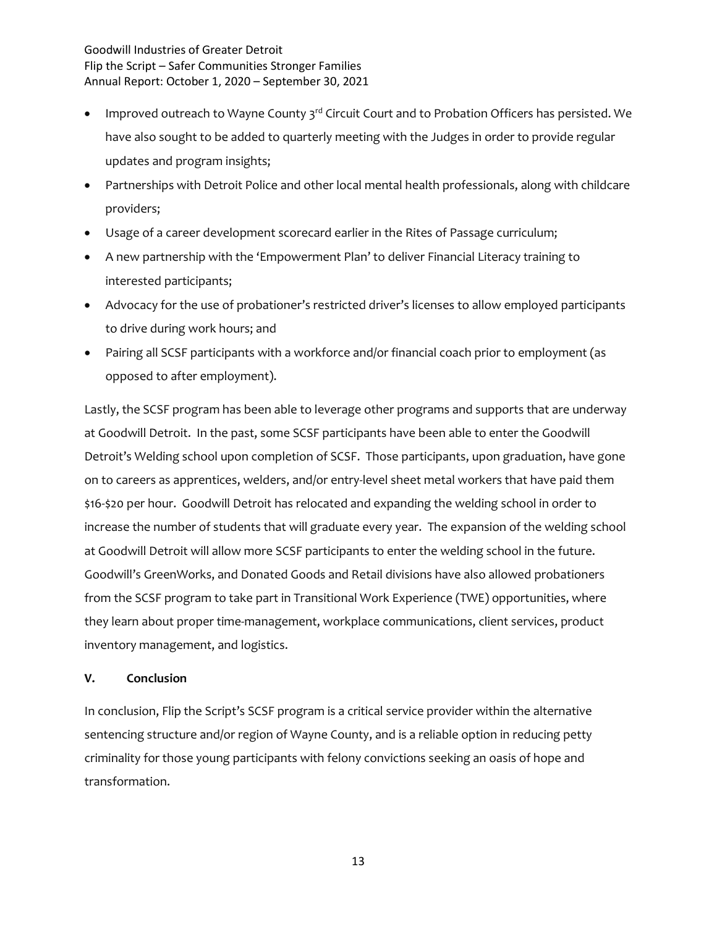- Improved outreach to Wayne County 3rd Circuit Court and to Probation Officers has persisted. We have also sought to be added to quarterly meeting with the Judges in order to provide regular updates and program insights;
- Partnerships with Detroit Police and other local mental health professionals, along with childcare providers;
- Usage of a career development scorecard earlier in the Rites of Passage curriculum;
- A new partnership with the 'Empowerment Plan' to deliver Financial Literacy training to interested participants;
- Advocacy for the use of probationer's restricted driver's licenses to allow employed participants to drive during work hours; and
- Pairing all SCSF participants with a workforce and/or financial coach prior to employment (as opposed to after employment).

Lastly, the SCSF program has been able to leverage other programs and supports that are underway at Goodwill Detroit. In the past, some SCSF participants have been able to enter the Goodwill Detroit's Welding school upon completion of SCSF. Those participants, upon graduation, have gone on to careers as apprentices, welders, and/or entry-level sheet metal workers that have paid them \$16-\$20 per hour. Goodwill Detroit has relocated and expanding the welding school in order to increase the number of students that will graduate every year. The expansion of the welding school at Goodwill Detroit will allow more SCSF participants to enter the welding school in the future. Goodwill's GreenWorks, and Donated Goods and Retail divisions have also allowed probationers from the SCSF program to take part in Transitional Work Experience (TWE) opportunities, where they learn about proper time-management, workplace communications, client services, product inventory management, and logistics.

## **V. Conclusion**

In conclusion, Flip the Script's SCSF program is a critical service provider within the alternative sentencing structure and/or region of Wayne County, and is a reliable option in reducing petty criminality for those young participants with felony convictions seeking an oasis of hope and transformation.